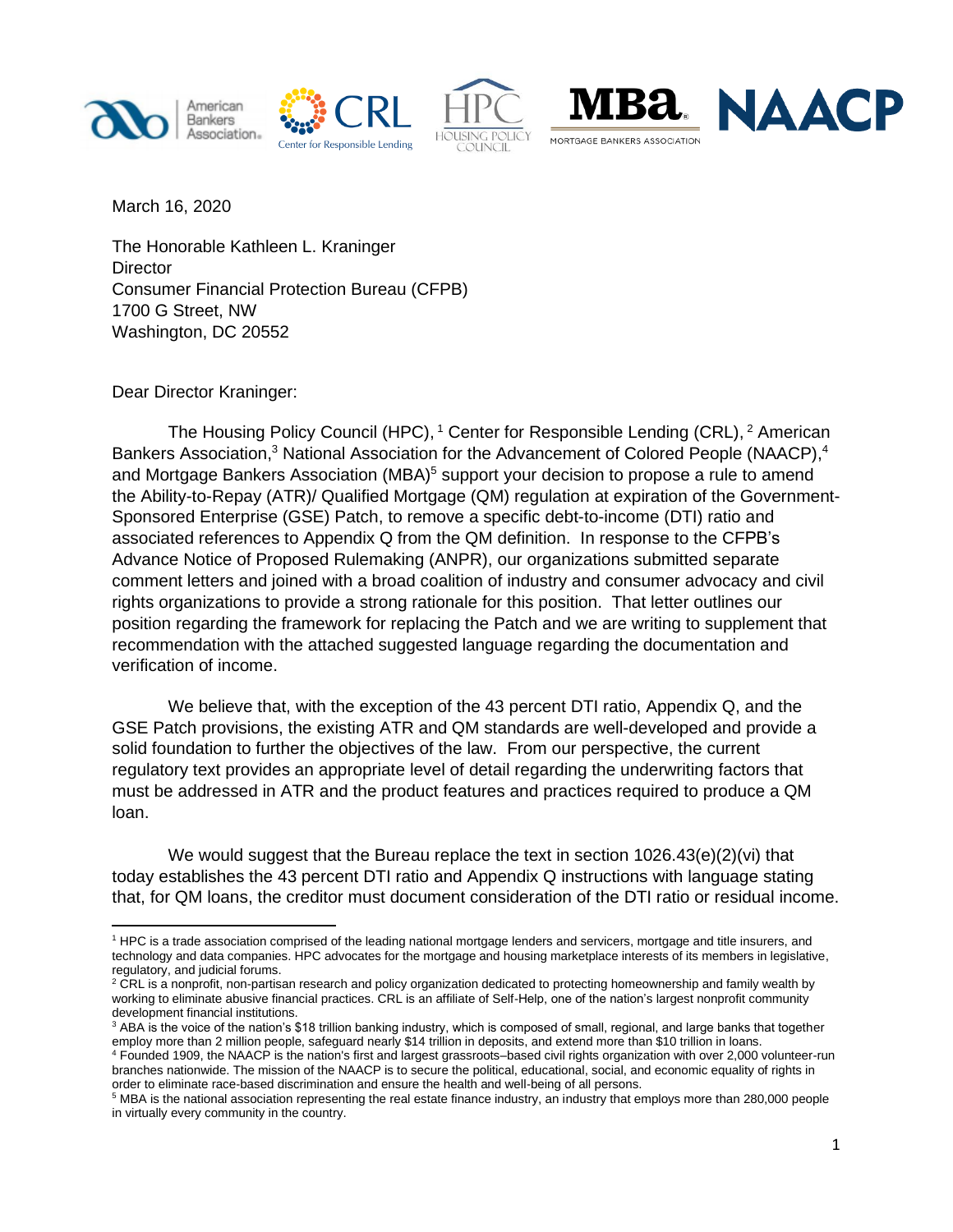









March 16, 2020

The Honorable Kathleen L. Kraninger **Director** Consumer Financial Protection Bureau (CFPB) 1700 G Street, NW Washington, DC 20552

Dear Director Kraninger:

The Housing Policy Council (HPC), <sup>1</sup> Center for Responsible Lending (CRL), <sup>2</sup> American Bankers Association,<sup>3</sup> National Association for the Advancement of Colored People (NAACP),<sup>4</sup> and Mortgage Bankers Association (MBA)<sup>5</sup> support your decision to propose a rule to amend the Ability-to-Repay (ATR)/ Qualified Mortgage (QM) regulation at expiration of the Government-Sponsored Enterprise (GSE) Patch, to remove a specific debt-to-income (DTI) ratio and associated references to Appendix Q from the QM definition. In response to the CFPB's Advance Notice of Proposed Rulemaking (ANPR), our organizations submitted separate comment letters and joined with a broad coalition of industry and consumer advocacy and civil rights organizations to provide a strong rationale for this position. That letter outlines our position regarding the framework for replacing the Patch and we are writing to supplement that recommendation with the attached suggested language regarding the documentation and verification of income.

We believe that, with the exception of the 43 percent DTI ratio, Appendix Q, and the GSE Patch provisions, the existing ATR and QM standards are well-developed and provide a solid foundation to further the objectives of the law. From our perspective, the current regulatory text provides an appropriate level of detail regarding the underwriting factors that must be addressed in ATR and the product features and practices required to produce a QM loan.

We would suggest that the Bureau replace the text in section 1026.43(e)(2)(vi) that today establishes the 43 percent DTI ratio and Appendix Q instructions with language stating that, for QM loans, the creditor must document consideration of the DTI ratio or residual income.

<sup>1</sup> HPC is a trade association comprised of the leading national mortgage lenders and servicers, mortgage and title insurers, and technology and data companies. HPC advocates for the mortgage and housing marketplace interests of its members in legislative, regulatory, and judicial forums.

<sup>&</sup>lt;sup>2</sup> CRL is a nonprofit, non-partisan research and policy organization dedicated to protecting homeownership and family wealth by working to eliminate abusive financial practices. CRL is an affiliate of Self-Help, one of the nation's largest nonprofit community development financial institutions.

<sup>&</sup>lt;sup>3</sup> ABA is the voice of the nation's \$18 trillion banking industry, which is composed of small, regional, and large banks that together employ more than 2 million people, safeguard nearly \$14 trillion in deposits, and extend more than \$10 trillion in loans.

<sup>4</sup> Founded 1909, the NAACP is the nation's first and largest grassroots–based civil rights organization with over 2,000 volunteer-run branches nationwide. The mission of the NAACP is to secure the political, educational, social, and economic equality of rights in order to eliminate race-based discrimination and ensure the health and well-being of all persons.

<sup>5</sup> MBA is the national association representing the real estate finance industry, an industry that employs more than 280,000 people in virtually every community in the country.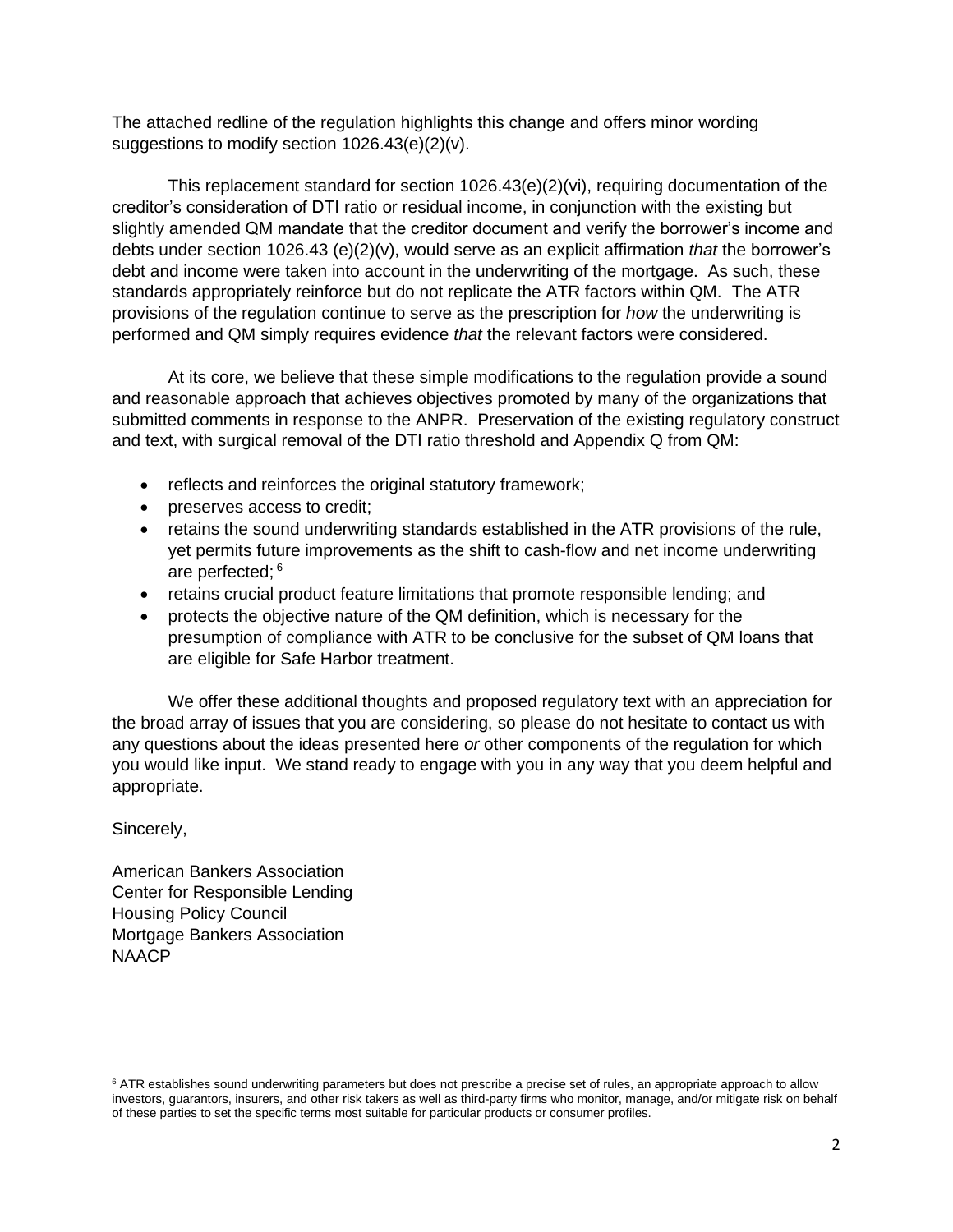The attached redline of the regulation highlights this change and offers minor wording suggestions to modify section 1026.43(e)(2)(v).

This replacement standard for section 1026.43(e)(2)(vi), requiring documentation of the creditor's consideration of DTI ratio or residual income, in conjunction with the existing but slightly amended QM mandate that the creditor document and verify the borrower's income and debts under section 1026.43 (e)(2)(v), would serve as an explicit affirmation *that* the borrower's debt and income were taken into account in the underwriting of the mortgage. As such, these standards appropriately reinforce but do not replicate the ATR factors within QM. The ATR provisions of the regulation continue to serve as the prescription for *how* the underwriting is performed and QM simply requires evidence *that* the relevant factors were considered.

At its core, we believe that these simple modifications to the regulation provide a sound and reasonable approach that achieves objectives promoted by many of the organizations that submitted comments in response to the ANPR. Preservation of the existing regulatory construct and text, with surgical removal of the DTI ratio threshold and Appendix Q from QM:

- reflects and reinforces the original statutory framework;
- preserves access to credit;
- retains the sound underwriting standards established in the ATR provisions of the rule, yet permits future improvements as the shift to cash-flow and net income underwriting are perfected; 6
- retains crucial product feature limitations that promote responsible lending; and
- protects the objective nature of the QM definition, which is necessary for the presumption of compliance with ATR to be conclusive for the subset of QM loans that are eligible for Safe Harbor treatment.

We offer these additional thoughts and proposed regulatory text with an appreciation for the broad array of issues that you are considering, so please do not hesitate to contact us with any questions about the ideas presented here *or* other components of the regulation for which you would like input. We stand ready to engage with you in any way that you deem helpful and appropriate.

Sincerely,

American Bankers Association Center for Responsible Lending Housing Policy Council Mortgage Bankers Association NAACP

<sup>&</sup>lt;sup>6</sup> ATR establishes sound underwriting parameters but does not prescribe a precise set of rules, an appropriate approach to allow investors, guarantors, insurers, and other risk takers as well as third-party firms who monitor, manage, and/or mitigate risk on behalf of these parties to set the specific terms most suitable for particular products or consumer profiles.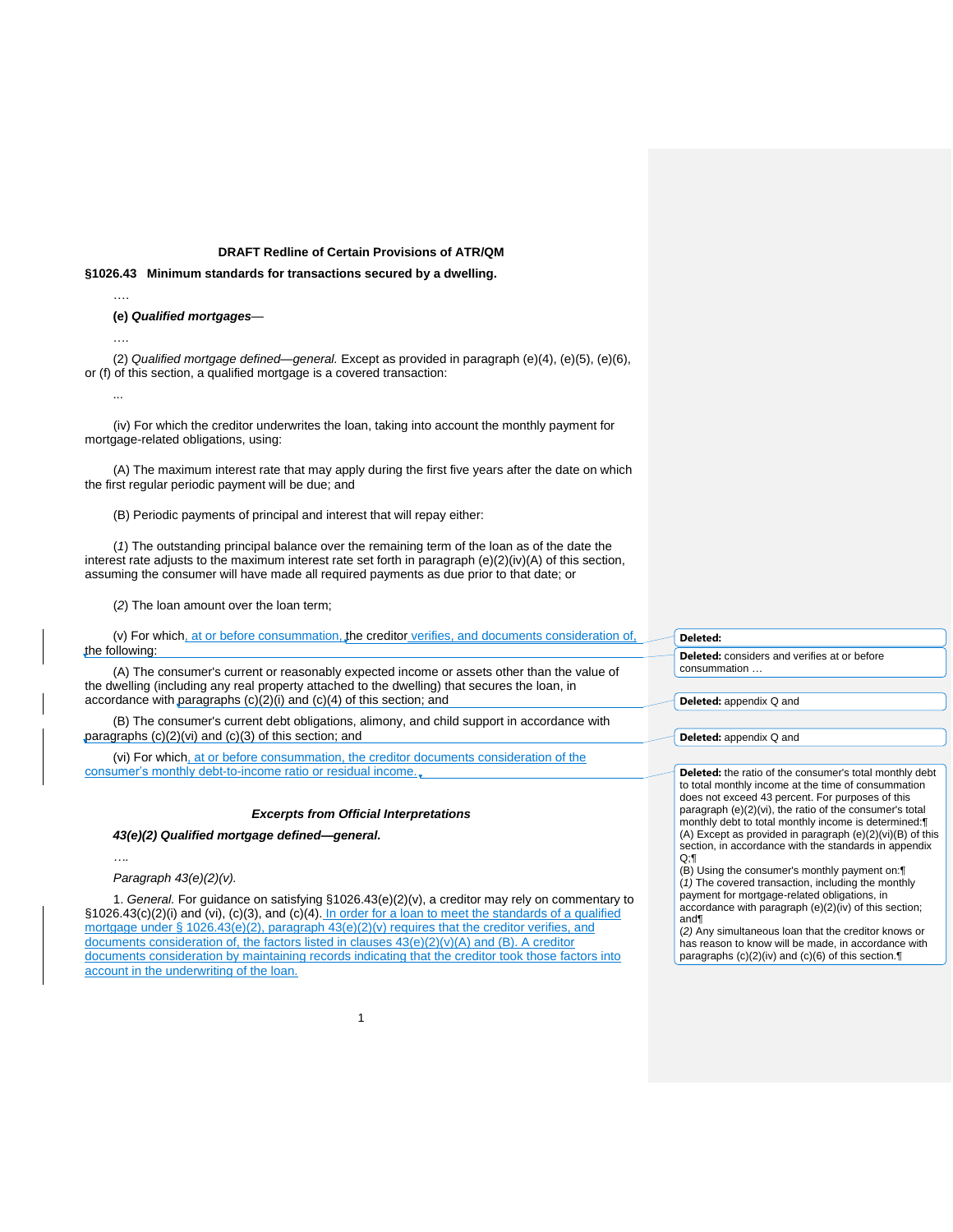## **DRAFT Redline of Certain Provisions of ATR/QM**

# **§1026.43 Minimum standards for transactions secured by a dwelling.**

**(e)** *Qualified mortgages*—

….

...

….

(2) *Qualified mortgage defined—general.* Except as provided in paragraph (e)(4), (e)(5), (e)(6), or (f) of this section, a qualified mortgage is a covered transaction:

(iv) For which the creditor underwrites the loan, taking into account the monthly payment for mortgage-related obligations, using:

(A) The maximum interest rate that may apply during the first five years after the date on which the first regular periodic payment will be due; and

(B) Periodic payments of principal and interest that will repay either:

(*1*) The outstanding principal balance over the remaining term of the loan as of the date the interest rate adjusts to the maximum interest rate set forth in paragraph (e)(2)(iv)(A) of this section, assuming the consumer will have made all required payments as due prior to that date; or

(*2*) The loan amount over the loan term;

(v) For which, at or before consummation, the creditor verifies, and documents consideration of, the following:

(A) The consumer's current or reasonably expected income or assets other than the value of the dwelling (including any real property attached to the dwelling) that secures the loan, in accordance with paragraphs (c)(2)(i) and (c)(4) of this section; and

(B) The consumer's current debt obligations, alimony, and child support in accordance with paragraphs (c)(2)(vi) and (c)(3) of this section; and

(vi) For which, at or before consummation, the creditor documents consideration of the consumer's monthly debt-to-income ratio or residual income.

### *Excerpts from Official Interpretations*

*43(e)(2) Qualified mortgage defined—general.*

*….*

*Paragraph 43(e)(2)(v).*

1. *General.* For guidance on satisfying §1026.43(e)(2)(v), a creditor may rely on commentary to §1026.43(c)(2)(i) and (vi), (c)(3), and (c)(4). In order for a loan to meet the standards of a qualified mortgage under § 1026.43(e)(2), paragraph  $43(e)(2)(v)$  requires that the creditor verifies, and documents consideration of, the factors listed in clauses 43(e)(2)(v)(A) and (B). A creditor documents consideration by maintaining records indicating that the creditor took those factors into account in the underwriting of the loan.

#### **Deleted:**

**Deleted:** considers and verifies at or before consummation …

**Deleted:** appendix Q and

**Deleted:** appendix Q and

**Deleted:** the ratio of the consumer's total monthly debt to total monthly income at the time of consummation does not exceed 43 percent. For purposes of this paragraph (e)(2)(vi), the ratio of the consumer's total monthly debt to total monthly income is determined:¶ (A) Except as provided in paragraph (e)(2)(vi)(B) of this section, in accordance with the standards in appendix Q;¶

(B) Using the consumer's monthly payment on:¶ (*1)* The covered transaction, including the monthly payment for mortgage-related obligations, in accordance with paragraph (e)(2)(iv) of this section; and¶

(*2)* Any simultaneous loan that the creditor knows or has reason to know will be made, in accordance with paragraphs (c)(2)(iv) and (c)(6) of this section.¶